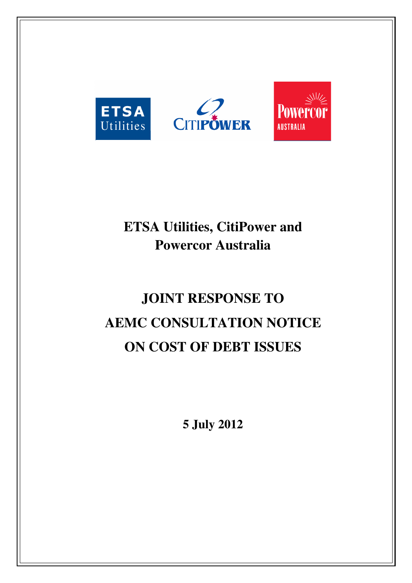

# **ETSA Utilities, CitiPower and Powercor Australia**

# **JOINT RESPONSE TO AEMC CONSULTATION NOTICE ON COST OF DEBT ISSUES**

**5 July 2012**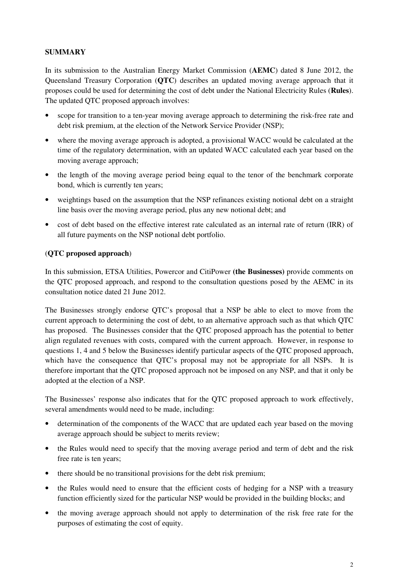# **SUMMARY**

In its submission to the Australian Energy Market Commission (**AEMC**) dated 8 June 2012, the Queensland Treasury Corporation (**QTC**) describes an updated moving average approach that it proposes could be used for determining the cost of debt under the National Electricity Rules (**Rules**). The updated QTC proposed approach involves:

- scope for transition to a ten-year moving average approach to determining the risk-free rate and debt risk premium, at the election of the Network Service Provider (NSP);
- where the moving average approach is adopted, a provisional WACC would be calculated at the time of the regulatory determination, with an updated WACC calculated each year based on the moving average approach;
- the length of the moving average period being equal to the tenor of the benchmark corporate bond, which is currently ten years;
- weightings based on the assumption that the NSP refinances existing notional debt on a straight line basis over the moving average period, plus any new notional debt; and
- cost of debt based on the effective interest rate calculated as an internal rate of return (IRR) of all future payments on the NSP notional debt portfolio.

# (**QTC proposed approach**)

In this submission, ETSA Utilities, Powercor and CitiPower **(the Businesses)** provide comments on the QTC proposed approach, and respond to the consultation questions posed by the AEMC in its consultation notice dated 21 June 2012.

The Businesses strongly endorse QTC's proposal that a NSP be able to elect to move from the current approach to determining the cost of debt, to an alternative approach such as that which QTC has proposed. The Businesses consider that the QTC proposed approach has the potential to better align regulated revenues with costs, compared with the current approach. However, in response to questions 1, 4 and 5 below the Businesses identify particular aspects of the QTC proposed approach, which have the consequence that QTC's proposal may not be appropriate for all NSPs. It is therefore important that the QTC proposed approach not be imposed on any NSP, and that it only be adopted at the election of a NSP.

The Businesses' response also indicates that for the QTC proposed approach to work effectively, several amendments would need to be made, including:

- determination of the components of the WACC that are updated each year based on the moving average approach should be subject to merits review;
- the Rules would need to specify that the moving average period and term of debt and the risk free rate is ten years;
- there should be no transitional provisions for the debt risk premium;
- the Rules would need to ensure that the efficient costs of hedging for a NSP with a treasury function efficiently sized for the particular NSP would be provided in the building blocks; and
- the moving average approach should not apply to determination of the risk free rate for the purposes of estimating the cost of equity.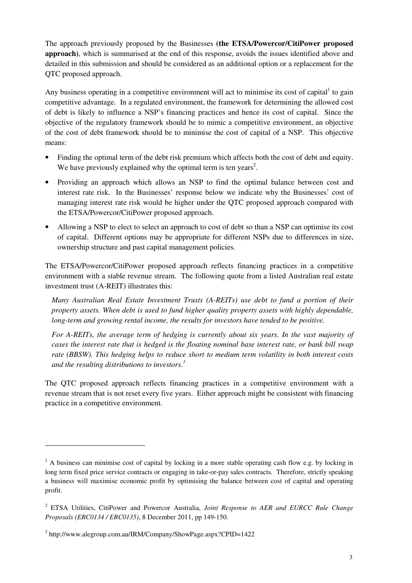The approach previously proposed by the Businesses **(the ETSA/Powercor/CitiPower proposed approach)**, which is summarised at the end of this response, avoids the issues identified above and detailed in this submission and should be considered as an additional option or a replacement for the QTC proposed approach.

Any business operating in a competitive environment will act to minimise its cost of capital $<sup>1</sup>$  to gain</sup> competitive advantage. In a regulated environment, the framework for determining the allowed cost of debt is likely to influence a NSP's financing practices and hence its cost of capital. Since the objective of the regulatory framework should be to mimic a competitive environment, an objective of the cost of debt framework should be to minimise the cost of capital of a NSP. This objective means:

- Finding the optimal term of the debt risk premium which affects both the cost of debt and equity. We have previously explained why the optimal term is ten years<sup>2</sup>.
- Providing an approach which allows an NSP to find the optimal balance between cost and interest rate risk. In the Businesses' response below we indicate why the Businesses' cost of managing interest rate risk would be higher under the QTC proposed approach compared with the ETSA/Powercor/CitiPower proposed approach.
- Allowing a NSP to elect to select an approach to cost of debt so than a NSP can optimise its cost of capital. Different options may be appropriate for different NSPs due to differences in size, ownership structure and past capital management policies.

The ETSA/Powercor/CitiPower proposed approach reflects financing practices in a competitive environment with a stable revenue stream. The following quote from a listed Australian real estate investment trust (A-REIT) illustrates this:

*Many Australian Real Estate Investment Trusts (A-REITs) use debt to fund a portion of their property assets. When debt is used to fund higher quality property assets with highly dependable, long-term and growing rental income, the results for investors have tended to be positive.* 

*For A-REITs, the average term of hedging is currently about six years. In the vast majority of cases the interest rate that is hedged is the floating nominal base interest rate, or bank bill swap rate (BBSW). This hedging helps to reduce short to medium term volatility in both interest costs and the resulting distributions to investors.<sup>3</sup>*

The QTC proposed approach reflects financing practices in a competitive environment with a revenue stream that is not reset every five years. Either approach might be consistent with financing practice in a competitive environment.

 $\overline{a}$ 

<sup>&</sup>lt;sup>1</sup> A business can minimise cost of capital by locking in a more stable operating cash flow e.g. by locking in long term fixed price service contracts or engaging in take-or-pay sales contracts. Therefore, strictly speaking a business will maximise economic profit by optimising the balance between cost of capital and operating profit.

<sup>2</sup> ETSA Utilities, CitiPower and Powercor Australia, *Joint Response to AER and EURCC Rule Change Proposals (ERC0134 / ERC0135)*, 8 December 2011, pp 149-150.

<sup>3</sup> http://www.alegroup.com.au/IRM/Company/ShowPage.aspx?CPID=1422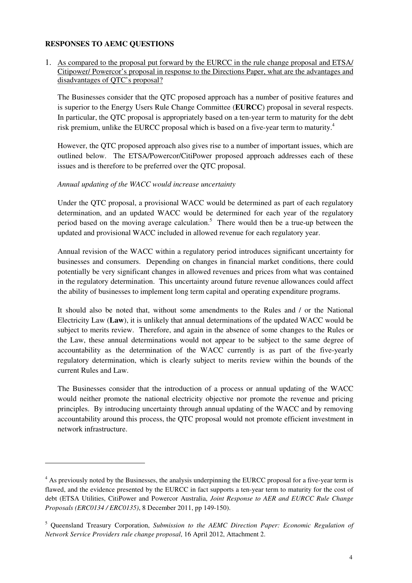#### **RESPONSES TO AEMC QUESTIONS**

 $\overline{a}$ 

1. As compared to the proposal put forward by the EURCC in the rule change proposal and ETSA/ Citipower/ Powercor's proposal in response to the Directions Paper, what are the advantages and disadvantages of QTC's proposal?

The Businesses consider that the QTC proposed approach has a number of positive features and is superior to the Energy Users Rule Change Committee (**EURCC**) proposal in several respects. In particular, the QTC proposal is appropriately based on a ten-year term to maturity for the debt risk premium, unlike the EURCC proposal which is based on a five-year term to maturity.<sup>4</sup>

However, the QTC proposed approach also gives rise to a number of important issues, which are outlined below. The ETSA/Powercor/CitiPower proposed approach addresses each of these issues and is therefore to be preferred over the QTC proposal.

#### *Annual updating of the WACC would increase uncertainty*

Under the QTC proposal, a provisional WACC would be determined as part of each regulatory determination, and an updated WACC would be determined for each year of the regulatory period based on the moving average calculation.<sup>5</sup> There would then be a true-up between the updated and provisional WACC included in allowed revenue for each regulatory year.

Annual revision of the WACC within a regulatory period introduces significant uncertainty for businesses and consumers. Depending on changes in financial market conditions, there could potentially be very significant changes in allowed revenues and prices from what was contained in the regulatory determination. This uncertainty around future revenue allowances could affect the ability of businesses to implement long term capital and operating expenditure programs.

It should also be noted that, without some amendments to the Rules and / or the National Electricity Law (**Law**), it is unlikely that annual determinations of the updated WACC would be subject to merits review. Therefore, and again in the absence of some changes to the Rules or the Law, these annual determinations would not appear to be subject to the same degree of accountability as the determination of the WACC currently is as part of the five-yearly regulatory determination, which is clearly subject to merits review within the bounds of the current Rules and Law.

The Businesses consider that the introduction of a process or annual updating of the WACC would neither promote the national electricity objective nor promote the revenue and pricing principles. By introducing uncertainty through annual updating of the WACC and by removing accountability around this process, the QTC proposal would not promote efficient investment in network infrastructure.

<sup>&</sup>lt;sup>4</sup> As previously noted by the Businesses, the analysis underpinning the EURCC proposal for a five-year term is flawed, and the evidence presented by the EURCC in fact supports a ten-year term to maturity for the cost of debt (ETSA Utilities, CitiPower and Powercor Australia, *Joint Response to AER and EURCC Rule Change Proposals (ERC0134 / ERC0135)*, 8 December 2011, pp 149-150).

<sup>5</sup> Queensland Treasury Corporation, *Submission to the AEMC Direction Paper: Economic Regulation of Network Service Providers rule change proposal*, 16 April 2012, Attachment 2.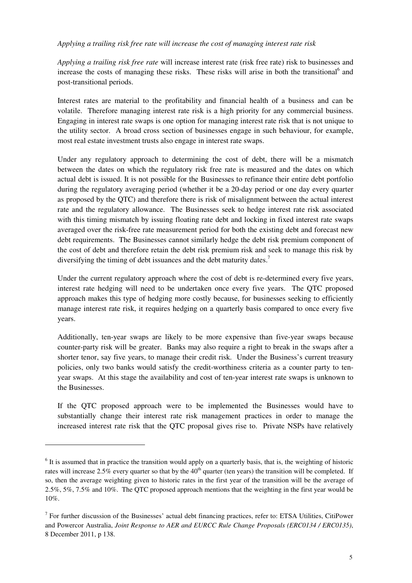#### *Applying a trailing risk free rate will increase the cost of managing interest rate risk*

*Applying a trailing risk free rate* will increase interest rate (risk free rate) risk to businesses and increase the costs of managing these risks. These risks will arise in both the transitional<sup>6</sup> and post-transitional periods.

Interest rates are material to the profitability and financial health of a business and can be volatile. Therefore managing interest rate risk is a high priority for any commercial business. Engaging in interest rate swaps is one option for managing interest rate risk that is not unique to the utility sector. A broad cross section of businesses engage in such behaviour, for example, most real estate investment trusts also engage in interest rate swaps.

Under any regulatory approach to determining the cost of debt, there will be a mismatch between the dates on which the regulatory risk free rate is measured and the dates on which actual debt is issued. It is not possible for the Businesses to refinance their entire debt portfolio during the regulatory averaging period (whether it be a 20-day period or one day every quarter as proposed by the QTC) and therefore there is risk of misalignment between the actual interest rate and the regulatory allowance. The Businesses seek to hedge interest rate risk associated with this timing mismatch by issuing floating rate debt and locking in fixed interest rate swaps averaged over the risk-free rate measurement period for both the existing debt and forecast new debt requirements. The Businesses cannot similarly hedge the debt risk premium component of the cost of debt and therefore retain the debt risk premium risk and seek to manage this risk by diversifying the timing of debt issuances and the debt maturity dates.<sup>7</sup>

Under the current regulatory approach where the cost of debt is re-determined every five years, interest rate hedging will need to be undertaken once every five years. The QTC proposed approach makes this type of hedging more costly because, for businesses seeking to efficiently manage interest rate risk, it requires hedging on a quarterly basis compared to once every five years.

Additionally, ten-year swaps are likely to be more expensive than five-year swaps because counter-party risk will be greater. Banks may also require a right to break in the swaps after a shorter tenor, say five years, to manage their credit risk. Under the Business's current treasury policies, only two banks would satisfy the credit-worthiness criteria as a counter party to tenyear swaps. At this stage the availability and cost of ten-year interest rate swaps is unknown to the Businesses.

If the QTC proposed approach were to be implemented the Businesses would have to substantially change their interest rate risk management practices in order to manage the increased interest rate risk that the QTC proposal gives rise to. Private NSPs have relatively

 $\overline{a}$ 

 $<sup>6</sup>$  It is assumed that in practice the transition would apply on a quarterly basis, that is, the weighting of historic</sup> rates will increase 2.5% every quarter so that by the  $40<sup>th</sup>$  quarter (ten years) the transition will be completed. If so, then the average weighting given to historic rates in the first year of the transition will be the average of 2.5%, 5%, 7.5% and 10%. The QTC proposed approach mentions that the weighting in the first year would be 10%.

 $<sup>7</sup>$  For further discussion of the Businesses' actual debt financing practices, refer to: ETSA Utilities, CitiPower</sup> and Powercor Australia, *Joint Response to AER and EURCC Rule Change Proposals (ERC0134 / ERC0135)*, 8 December 2011, p 138.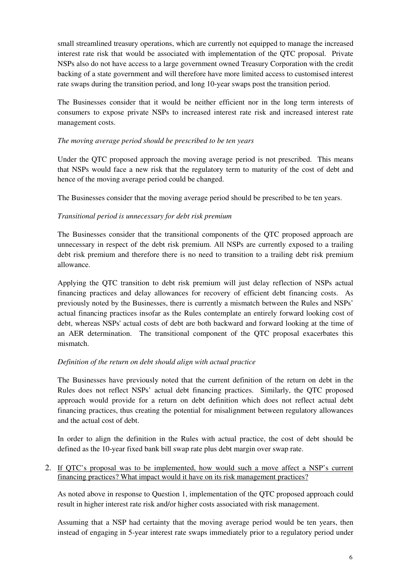small streamlined treasury operations, which are currently not equipped to manage the increased interest rate risk that would be associated with implementation of the QTC proposal. Private NSPs also do not have access to a large government owned Treasury Corporation with the credit backing of a state government and will therefore have more limited access to customised interest rate swaps during the transition period, and long 10-year swaps post the transition period.

The Businesses consider that it would be neither efficient nor in the long term interests of consumers to expose private NSPs to increased interest rate risk and increased interest rate management costs.

#### *The moving average period should be prescribed to be ten years*

Under the QTC proposed approach the moving average period is not prescribed. This means that NSPs would face a new risk that the regulatory term to maturity of the cost of debt and hence of the moving average period could be changed.

The Businesses consider that the moving average period should be prescribed to be ten years.

### *Transitional period is unnecessary for debt risk premium*

The Businesses consider that the transitional components of the QTC proposed approach are unnecessary in respect of the debt risk premium. All NSPs are currently exposed to a trailing debt risk premium and therefore there is no need to transition to a trailing debt risk premium allowance.

Applying the QTC transition to debt risk premium will just delay reflection of NSPs actual financing practices and delay allowances for recovery of efficient debt financing costs. As previously noted by the Businesses, there is currently a mismatch between the Rules and NSPs' actual financing practices insofar as the Rules contemplate an entirely forward looking cost of debt, whereas NSPs' actual costs of debt are both backward and forward looking at the time of an AER determination. The transitional component of the QTC proposal exacerbates this mismatch.

#### *Definition of the return on debt should align with actual practice*

The Businesses have previously noted that the current definition of the return on debt in the Rules does not reflect NSPs' actual debt financing practices. Similarly, the QTC proposed approach would provide for a return on debt definition which does not reflect actual debt financing practices, thus creating the potential for misalignment between regulatory allowances and the actual cost of debt.

In order to align the definition in the Rules with actual practice, the cost of debt should be defined as the 10-year fixed bank bill swap rate plus debt margin over swap rate.

#### 2. If QTC's proposal was to be implemented, how would such a move affect a NSP's current financing practices? What impact would it have on its risk management practices?

As noted above in response to Question 1, implementation of the QTC proposed approach could result in higher interest rate risk and/or higher costs associated with risk management.

Assuming that a NSP had certainty that the moving average period would be ten years, then instead of engaging in 5-year interest rate swaps immediately prior to a regulatory period under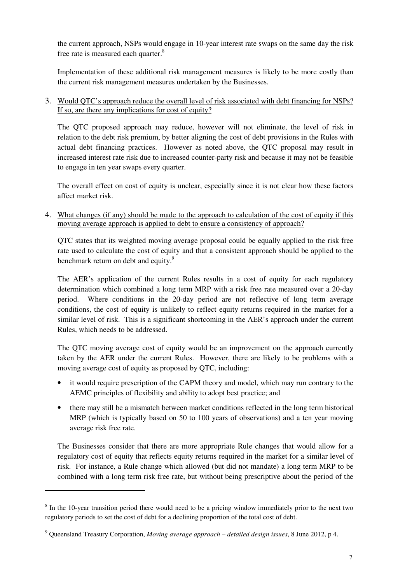the current approach, NSPs would engage in 10-year interest rate swaps on the same day the risk free rate is measured each quarter.<sup>8</sup>

Implementation of these additional risk management measures is likely to be more costly than the current risk management measures undertaken by the Businesses.

3. Would QTC's approach reduce the overall level of risk associated with debt financing for NSPs? If so, are there any implications for cost of equity?

The QTC proposed approach may reduce, however will not eliminate, the level of risk in relation to the debt risk premium, by better aligning the cost of debt provisions in the Rules with actual debt financing practices. However as noted above, the QTC proposal may result in increased interest rate risk due to increased counter-party risk and because it may not be feasible to engage in ten year swaps every quarter.

The overall effect on cost of equity is unclear, especially since it is not clear how these factors affect market risk.

4. What changes (if any) should be made to the approach to calculation of the cost of equity if this moving average approach is applied to debt to ensure a consistency of approach?

QTC states that its weighted moving average proposal could be equally applied to the risk free rate used to calculate the cost of equity and that a consistent approach should be applied to the benchmark return on debt and equity.<sup>9</sup>

The AER's application of the current Rules results in a cost of equity for each regulatory determination which combined a long term MRP with a risk free rate measured over a 20-day period. Where conditions in the 20-day period are not reflective of long term average conditions, the cost of equity is unlikely to reflect equity returns required in the market for a similar level of risk. This is a significant shortcoming in the AER's approach under the current Rules, which needs to be addressed.

The QTC moving average cost of equity would be an improvement on the approach currently taken by the AER under the current Rules. However, there are likely to be problems with a moving average cost of equity as proposed by QTC, including:

- it would require prescription of the CAPM theory and model, which may run contrary to the AEMC principles of flexibility and ability to adopt best practice; and
- there may still be a mismatch between market conditions reflected in the long term historical MRP (which is typically based on 50 to 100 years of observations) and a ten year moving average risk free rate.

The Businesses consider that there are more appropriate Rule changes that would allow for a regulatory cost of equity that reflects equity returns required in the market for a similar level of risk. For instance, a Rule change which allowed (but did not mandate) a long term MRP to be combined with a long term risk free rate, but without being prescriptive about the period of the

 $\overline{a}$ 

<sup>&</sup>lt;sup>8</sup> In the 10-year transition period there would need to be a pricing window immediately prior to the next two regulatory periods to set the cost of debt for a declining proportion of the total cost of debt.

<sup>9</sup> Queensland Treasury Corporation, *Moving average approach – detailed design issues*, 8 June 2012, p 4.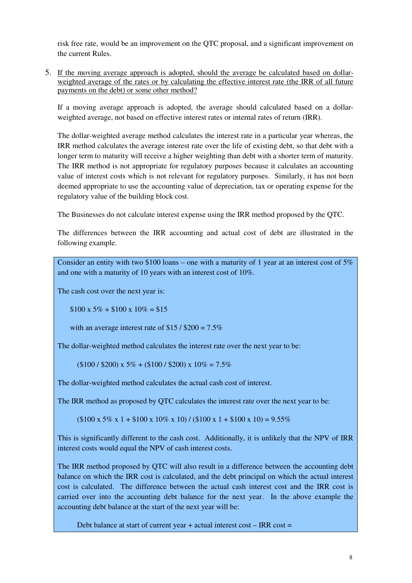risk free rate, would be an improvement on the QTC proposal, and a significant improvement on the current Rules.

5. If the moving average approach is adopted, should the average be calculated based on dollarweighted average of the rates or by calculating the effective interest rate (the IRR of all future payments on the debt) or some other method?

If a moving average approach is adopted, the average should calculated based on a dollarweighted average, not based on effective interest rates or internal rates of return (IRR).

The dollar-weighted average method calculates the interest rate in a particular year whereas, the IRR method calculates the average interest rate over the life of existing debt, so that debt with a longer term to maturity will receive a higher weighting than debt with a shorter term of maturity. The IRR method is not appropriate for regulatory purposes because it calculates an accounting value of interest costs which is not relevant for regulatory purposes. Similarly, it has not been deemed appropriate to use the accounting value of depreciation, tax or operating expense for the regulatory value of the building block cost.

The Businesses do not calculate interest expense using the IRR method proposed by the QTC.

The differences between the IRR accounting and actual cost of debt are illustrated in the following example.

Consider an entity with two \$100 loans – one with a maturity of 1 year at an interest cost of  $5\%$ and one with a maturity of 10 years with an interest cost of 10%.

The cash cost over the next year is:

 $$100 \times 5\% + $100 \times 10\% = $15$ 

with an average interest rate of  $$15 / $200 = 7.5\%$ 

The dollar-weighted method calculates the interest rate over the next year to be:

 $(100 / 200) \times 5\% + (100 / 200) \times 10\% = 7.5\%$ 

The dollar-weighted method calculates the actual cash cost of interest.

The IRR method as proposed by QTC calculates the interest rate over the next year to be:

 $(100 \times 5\% \times 1 + 100 \times 10\% \times 10) / (100 \times 1 + 100 \times 10) = 9.55\%$ 

This is significantly different to the cash cost. Additionally, it is unlikely that the NPV of IRR interest costs would equal the NPV of cash interest costs.

The IRR method proposed by QTC will also result in a difference between the accounting debt balance on which the IRR cost is calculated, and the debt principal on which the actual interest cost is calculated. The difference between the actual cash interest cost and the IRR cost is carried over into the accounting debt balance for the next year. In the above example the accounting debt balance at the start of the next year will be:

Debt balance at start of current year  $+$  actual interest cost  $-$  IRR cost  $=$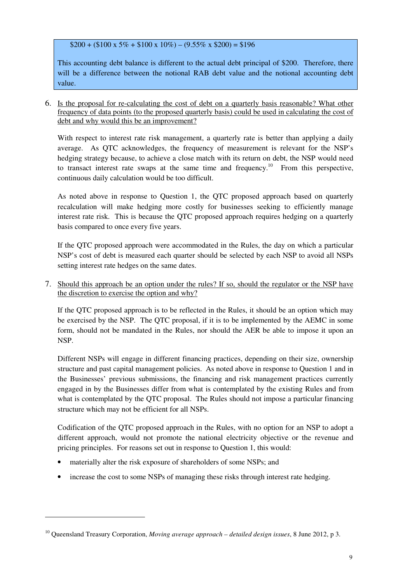$$200 + ($100 \times 5\% + $100 \times 10\%) - (9.55\% \times $200) = $196$ 

This accounting debt balance is different to the actual debt principal of \$200. Therefore, there will be a difference between the notional RAB debt value and the notional accounting debt value.

6. Is the proposal for re-calculating the cost of debt on a quarterly basis reasonable? What other frequency of data points (to the proposed quarterly basis) could be used in calculating the cost of debt and why would this be an improvement?

With respect to interest rate risk management, a quarterly rate is better than applying a daily average. As QTC acknowledges, the frequency of measurement is relevant for the NSP's hedging strategy because, to achieve a close match with its return on debt, the NSP would need to transact interest rate swaps at the same time and frequency.<sup>10</sup> From this perspective, continuous daily calculation would be too difficult.

As noted above in response to Question 1, the QTC proposed approach based on quarterly recalculation will make hedging more costly for businesses seeking to efficiently manage interest rate risk. This is because the QTC proposed approach requires hedging on a quarterly basis compared to once every five years.

If the QTC proposed approach were accommodated in the Rules, the day on which a particular NSP's cost of debt is measured each quarter should be selected by each NSP to avoid all NSPs setting interest rate hedges on the same dates.

7. Should this approach be an option under the rules? If so, should the regulator or the NSP have the discretion to exercise the option and why?

If the QTC proposed approach is to be reflected in the Rules, it should be an option which may be exercised by the NSP. The QTC proposal, if it is to be implemented by the AEMC in some form, should not be mandated in the Rules, nor should the AER be able to impose it upon an NSP.

Different NSPs will engage in different financing practices, depending on their size, ownership structure and past capital management policies. As noted above in response to Question 1 and in the Businesses' previous submissions, the financing and risk management practices currently engaged in by the Businesses differ from what is contemplated by the existing Rules and from what is contemplated by the OTC proposal. The Rules should not impose a particular financing structure which may not be efficient for all NSPs.

Codification of the QTC proposed approach in the Rules, with no option for an NSP to adopt a different approach, would not promote the national electricity objective or the revenue and pricing principles. For reasons set out in response to Question 1, this would:

• materially alter the risk exposure of shareholders of some NSPs; and

 $\ddot{ }$ 

• increase the cost to some NSPs of managing these risks through interest rate hedging.

<sup>10</sup> Queensland Treasury Corporation, *Moving average approach – detailed design issues*, 8 June 2012, p 3.